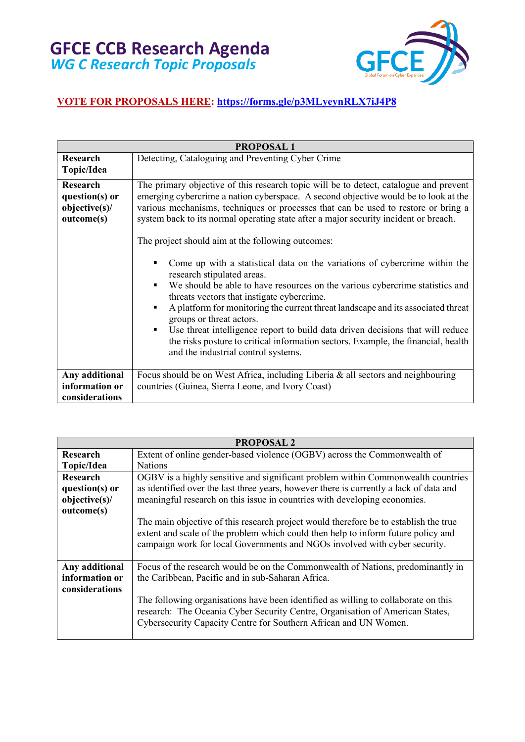

| <b>PROPOSAL1</b>                                         |                                                                                                                                                                                                                                                                                                                                                                                                                                                                                                                                                                                                                                                                                                                                                                                                                                                                                                                                                                                                                     |
|----------------------------------------------------------|---------------------------------------------------------------------------------------------------------------------------------------------------------------------------------------------------------------------------------------------------------------------------------------------------------------------------------------------------------------------------------------------------------------------------------------------------------------------------------------------------------------------------------------------------------------------------------------------------------------------------------------------------------------------------------------------------------------------------------------------------------------------------------------------------------------------------------------------------------------------------------------------------------------------------------------------------------------------------------------------------------------------|
| <b>Research</b><br>Topic/Idea                            | Detecting, Cataloguing and Preventing Cyber Crime                                                                                                                                                                                                                                                                                                                                                                                                                                                                                                                                                                                                                                                                                                                                                                                                                                                                                                                                                                   |
| Research<br>question(s) or<br>objective(s)<br>outcome(s) | The primary objective of this research topic will be to detect, catalogue and prevent<br>emerging cybercrime a nation cyberspace. A second objective would be to look at the<br>various mechanisms, techniques or processes that can be used to restore or bring a<br>system back to its normal operating state after a major security incident or breach.<br>The project should aim at the following outcomes:<br>Come up with a statistical data on the variations of cybercrime within the<br>research stipulated areas.<br>We should be able to have resources on the various cybercrime statistics and<br>$\blacksquare$<br>threats vectors that instigate cybercrime.<br>A platform for monitoring the current threat landscape and its associated threat<br>٠<br>groups or threat actors.<br>Use threat intelligence report to build data driven decisions that will reduce<br>٠<br>the risks posture to critical information sectors. Example, the financial, health<br>and the industrial control systems. |
| Any additional<br>information or<br>considerations       | Focus should be on West Africa, including Liberia & all sectors and neighbouring<br>countries (Guinea, Sierra Leone, and Ivory Coast)                                                                                                                                                                                                                                                                                                                                                                                                                                                                                                                                                                                                                                                                                                                                                                                                                                                                               |

| <b>PROPOSAL 2</b> |                                                                                                                                                                                                                                                         |
|-------------------|---------------------------------------------------------------------------------------------------------------------------------------------------------------------------------------------------------------------------------------------------------|
| <b>Research</b>   | Extent of online gender-based violence (OGBV) across the Commonwealth of                                                                                                                                                                                |
| Topic/Idea        | <b>Nations</b>                                                                                                                                                                                                                                          |
| <b>Research</b>   | OGBV is a highly sensitive and significant problem within Commonwealth countries                                                                                                                                                                        |
| question(s) or    | as identified over the last three years, however there is currently a lack of data and                                                                                                                                                                  |
| objective(s)      | meaningful research on this issue in countries with developing economies.                                                                                                                                                                               |
| outcome(s)        |                                                                                                                                                                                                                                                         |
|                   | The main objective of this research project would therefore be to establish the true<br>extent and scale of the problem which could then help to inform future policy and<br>campaign work for local Governments and NGOs involved with cyber security. |
| Any additional    | Focus of the research would be on the Commonwealth of Nations, predominantly in                                                                                                                                                                         |
| information or    | the Caribbean, Pacific and in sub-Saharan Africa.                                                                                                                                                                                                       |
| considerations    |                                                                                                                                                                                                                                                         |
|                   | The following organisations have been identified as willing to collaborate on this<br>research: The Oceania Cyber Security Centre, Organisation of American States,<br>Cybersecurity Capacity Centre for Southern African and UN Women.                 |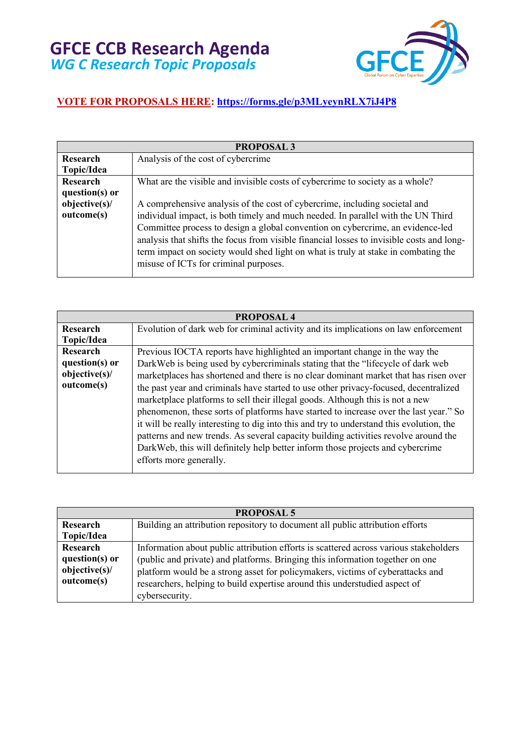

| <b>PROPOSAL 3</b>  |                                                                                           |
|--------------------|-------------------------------------------------------------------------------------------|
| <b>Research</b>    | Analysis of the cost of cybercrime                                                        |
| Topic/Idea         |                                                                                           |
| Research           | What are the visible and invisible costs of cybercrime to society as a whole?             |
| question( $s$ ) or |                                                                                           |
| objective(s)       | A comprehensive analysis of the cost of cybercrime, including societal and                |
| outcome(s)         | individual impact, is both timely and much needed. In parallel with the UN Third          |
|                    | Committee process to design a global convention on cybercrime, an evidence-led            |
|                    | analysis that shifts the focus from visible financial losses to invisible costs and long- |
|                    | term impact on society would shed light on what is truly at stake in combating the        |
|                    | misuse of ICTs for criminal purposes.                                                     |
|                    |                                                                                           |

| <b>PROPOSAL4</b> |                                                                                          |
|------------------|------------------------------------------------------------------------------------------|
| Research         | Evolution of dark web for criminal activity and its implications on law enforcement      |
| Topic/Idea       |                                                                                          |
| Research         | Previous IOCTA reports have highlighted an important change in the way the               |
| question(s) or   | DarkWeb is being used by cybercriminals stating that the "lifecycle of dark web          |
| objective(s)     | marketplaces has shortened and there is no clear dominant market that has risen over     |
| outcome(s)       | the past year and criminals have started to use other privacy-focused, decentralized     |
|                  | marketplace platforms to sell their illegal goods. Although this is not a new            |
|                  | phenomenon, these sorts of platforms have started to increase over the last year." So    |
|                  | it will be really interesting to dig into this and try to understand this evolution, the |
|                  | patterns and new trends. As several capacity building activities revolve around the      |
|                  | DarkWeb, this will definitely help better inform those projects and cybercrime           |
|                  | efforts more generally.                                                                  |
|                  |                                                                                          |

| <b>PROPOSAL 5</b>  |                                                                                       |
|--------------------|---------------------------------------------------------------------------------------|
| Research           | Building an attribution repository to document all public attribution efforts         |
| Topic/Idea         |                                                                                       |
| Research           | Information about public attribution efforts is scattered across various stakeholders |
| question( $s$ ) or | (public and private) and platforms. Bringing this information together on one         |
| objective(s)       | platform would be a strong asset for policymakers, victims of cyberattacks and        |
| outcome(s)         | researchers, helping to build expertise around this understudied aspect of            |
|                    | cybersecurity.                                                                        |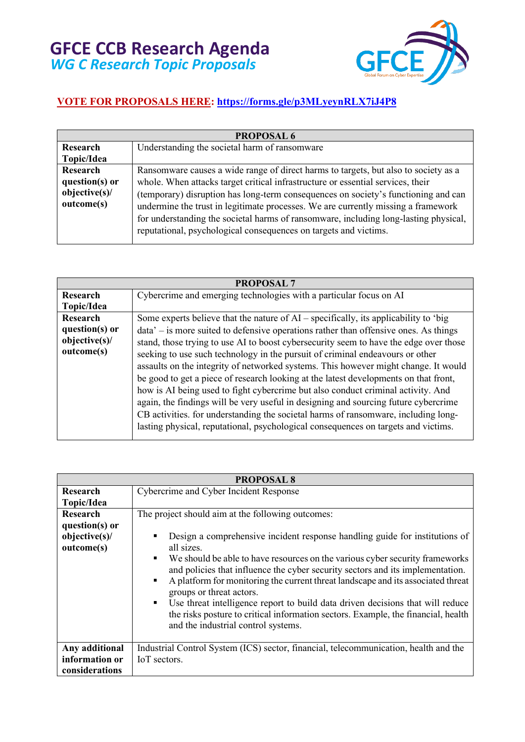

| <b>PROPOSAL 6</b>                                        |                                                                                                                                                                                                                                                                                                                                                                                                                                                                                                               |
|----------------------------------------------------------|---------------------------------------------------------------------------------------------------------------------------------------------------------------------------------------------------------------------------------------------------------------------------------------------------------------------------------------------------------------------------------------------------------------------------------------------------------------------------------------------------------------|
| Research                                                 | Understanding the societal harm of ransomware                                                                                                                                                                                                                                                                                                                                                                                                                                                                 |
| Topic/Idea                                               |                                                                                                                                                                                                                                                                                                                                                                                                                                                                                                               |
| Research<br>question(s) or<br>objective(s)<br>outcome(s) | Ransomware causes a wide range of direct harms to targets, but also to society as a<br>whole. When attacks target critical infrastructure or essential services, their<br>(temporary) disruption has long-term consequences on society's functioning and can<br>undermine the trust in legitimate processes. We are currently missing a framework<br>for understanding the societal harms of ransomware, including long-lasting physical,<br>reputational, psychological consequences on targets and victims. |

| <b>PROPOSAL 7</b>  |                                                                                       |
|--------------------|---------------------------------------------------------------------------------------|
| Research           | Cybercrime and emerging technologies with a particular focus on AI                    |
| Topic/Idea         |                                                                                       |
| <b>Research</b>    | Some experts believe that the nature of AI – specifically, its applicability to 'big  |
| question( $s$ ) or | data' – is more suited to defensive operations rather than offensive ones. As things  |
| objective(s)       | stand, those trying to use AI to boost cybersecurity seem to have the edge over those |
| outcome(s)         | seeking to use such technology in the pursuit of criminal endeavours or other         |
|                    | assaults on the integrity of networked systems. This however might change. It would   |
|                    | be good to get a piece of research looking at the latest developments on that front,  |
|                    | how is AI being used to fight cybercrime but also conduct criminal activity. And      |
|                    | again, the findings will be very useful in designing and sourcing future cybercrime   |
|                    | CB activities. for understanding the societal harms of ransomware, including long-    |
|                    | lasting physical, reputational, psychological consequences on targets and victims.    |

| <b>PROPOSAL 8</b>                                        |                                                                                                                                                                                                                                                                                                                                                                                                                                                                                                                                                                                                                                                  |
|----------------------------------------------------------|--------------------------------------------------------------------------------------------------------------------------------------------------------------------------------------------------------------------------------------------------------------------------------------------------------------------------------------------------------------------------------------------------------------------------------------------------------------------------------------------------------------------------------------------------------------------------------------------------------------------------------------------------|
| Research                                                 | Cybercrime and Cyber Incident Response                                                                                                                                                                                                                                                                                                                                                                                                                                                                                                                                                                                                           |
| Topic/Idea                                               |                                                                                                                                                                                                                                                                                                                                                                                                                                                                                                                                                                                                                                                  |
| Research<br>question(s) or<br>objective(s)<br>outcome(s) | The project should aim at the following outcomes:<br>Design a comprehensive incident response handling guide for institutions of<br>all sizes.<br>We should be able to have resources on the various cyber security frameworks<br>$\blacksquare$<br>and policies that influence the cyber security sectors and its implementation.<br>A platform for monitoring the current threat landscape and its associated threat<br>$\blacksquare$<br>groups or threat actors.<br>Use threat intelligence report to build data driven decisions that will reduce<br>٠<br>the risks posture to critical information sectors. Example, the financial, health |
|                                                          | and the industrial control systems.                                                                                                                                                                                                                                                                                                                                                                                                                                                                                                                                                                                                              |
| Any additional<br>information or<br>considerations       | Industrial Control System (ICS) sector, financial, telecommunication, health and the<br>IoT sectors.                                                                                                                                                                                                                                                                                                                                                                                                                                                                                                                                             |